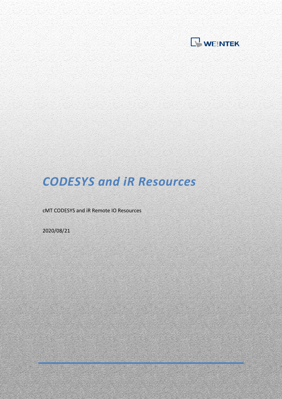

# *CODESYS and iR Resources*

cMT CODESYS and iR Remote IO Resources

2020/08/21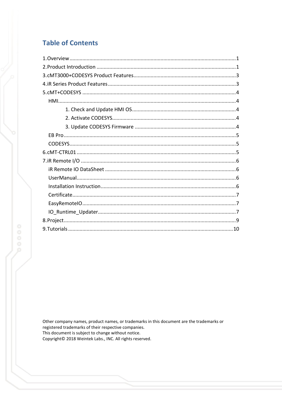## **Table of Contents**

Other company names, product names, or trademarks in this document are the trademarks or registered trademarks of their respective companies. This document is subject to change without notice. Copyright© 2018 Weintek Labs., INC. All rights reserved.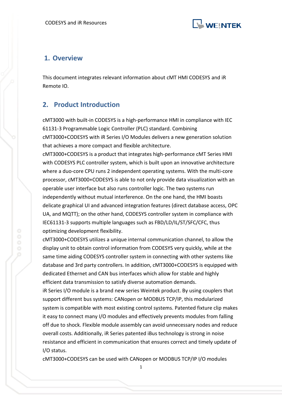

## <span id="page-2-0"></span>**1. Overview**

This document integrates relevant information about cMT HMI CODESYS and iR Remote IO.

## <span id="page-2-1"></span>**2. Product Introduction**

cMT3000 with built-in CODESYS is a high-performance HMI in compliance with IEC 61131-3 Programmable Logic Controller (PLC) standard. Combining cMT3000+CODESYS with iR Series I/O Modules delivers a new generation solution that achieves a more compact and flexible architecture.

cMT3000+CODESYS is a product that integrates high-performance cMT Series HMI with CODESYS PLC controller system, which is built upon an innovative architecture where a duo-core CPU runs 2 independent operating systems. With the multi-core processor, cMT3000+CODESYS is able to not only provide data visualization with an operable user interface but also runs controller logic. The two systems run independently without mutual interference. On the one hand, the HMI boasts delicate graphical UI and advanced integration features (direct database access, OPC UA, and MQTT); on the other hand, CODESYS controller system in compliance with IEC61131-3 supports multiple languages such as FBD/LD/IL/ST/SFC/CFC, thus optimizing development flexibility.

cMT3000+CODESYS utilizes a unique internal communication channel, to allow the display unit to obtain control information from CODESYS very quickly, while at the same time aiding CODESYS controller system in connecting with other systems like database and 3rd party controllers. In addition, cMT3000+CODESYS is equipped with dedicated Ethernet and CAN bus interfaces which allow for stable and highly efficient data transmission to satisfy diverse automation demands.

iR Series I/O module is a brand new series Weintek product. By using couplers that support different bus systems: CANopen or MODBUS TCP/IP, this modularized system is compatible with most existing control systems. Patented fixture clip makes it easy to connect many I/O modules and effectively prevents modules from falling off due to shock. Flexible module assembly can avoid unnecessary nodes and reduce overall costs. Additionally, iR Series patented iBus technology is strong in noise resistance and efficient in communication that ensures correct and timely update of I/O status.

cMT3000+CODESYS can be used with CANopen or MODBUS TCP/IP I/O modules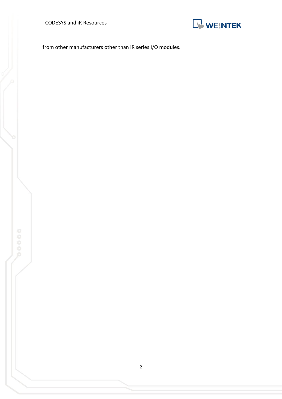CODESYS and iR Resources



from other manufacturers other than iR series I/O modules.



2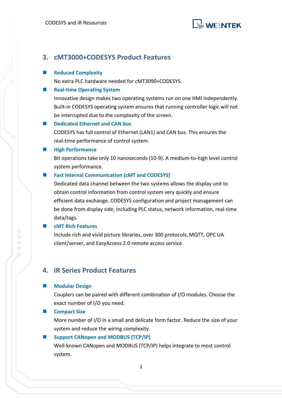

## <span id="page-4-0"></span>**3. cMT3000+CODESYS Product Features**

#### **Reduced Complexity**

No extra PLC hardware needed for cMT3090+CODESYS.

#### **Real-time Operating System**

Innovative design makes two operating systems run on one HMI independently. Built-in CODESYS operating system ensures that running controller logic will not be interrupted due to the complexity of the screen.

#### **Dedicated Ethernet and CAN bus**

CODESYS has full control of Ethernet (LAN1) and CAN bus. This ensures the real-time performance of control system.

#### **High Performance**

Bit operations take only 10 nanoseconds (10-9). A medium-to-high level control system performance.

#### ■ Fast Internal Communication (cMT and CODESYS)

Dedicated data channel between the two systems allows the display unit to obtain control information from control system very quickly and ensure efficient data exchange. CODESYS configuration and project management can be done from display side, including PLC status, network information, real-time data/tags.

#### **cMT Rich Features**

Include rich and vivid picture libraries, over 300 protocols, MQTT, OPC UA client/server, and EasyAccess 2.0 remote access service.

#### <span id="page-4-1"></span>**4. iR Series Product Features**

#### **Modular Design**

Couplers can be paired with different combination of I/O modules. Choose the exact number of I/O you need.

#### **Exercise** Compact Size

More number of I/O in a small and delicate form factor. Reduce the size of your system and reduce the wiring complexity.

#### **Support CANopen and MODBUS (TCP/IP)**

Well-known CANopen and MODBUS (TCP/IP) helps integrate to most control system.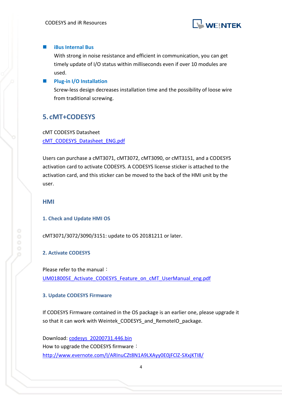

#### **iBus Internal Bus**

With strong in noise resistance and efficient in communication, you can get timely update of I/O status within milliseconds even if over 10 modules are used.

#### **Plug-in I/O Installation**

Screw-less design decreases installation time and the possibility of loose wire from traditional screwing.

## <span id="page-5-0"></span>**5. cMT+CODESYS**

cMT CODESYS Datasheet [cMT\\_CODESYS\\_Datasheet\\_ENG.pdf](https://dl.weintek.com/public/cMT/eng/Datasheet/cMT_CODESYS_Datasheet_ENG.pdf)

Users can purchase a cMT3071, cMT3072, cMT3090, or cMT3151, and a CODESYS activation card to activate CODESYS. A CODESYS license sticker is attached to the activation card, and this sticker can be moved to the back of the HMI unit by the user.

<span id="page-5-2"></span><span id="page-5-1"></span>**HMI**

#### **1. Check and Update HMI OS**

<span id="page-5-3"></span>cMT3071/3072/3090/3151: update to OS 20181211 or later.

#### **2. Activate CODESYS**

Please refer to the manual: UM018005E Activate CODESYS Feature on cMT UserManual eng.pdf

#### <span id="page-5-4"></span>**3. Update CODESYS Firmware**

If CODESYS Firmware contained in the OS package is an earlier one, please upgrade it so that it can work with Weintek CODESYS and RemoteIO package.

Download: [codesys\\_20200731.446.bin](https://dl.weintek.com/public/cMT/CODESYS/Firmware/codesys_20200731.446.bin) How to upgrade the CODESYS firmware: <http://www.evernote.com/l/ARInuCZt8N1A9LXAyy0E0jFClZ-SXxjKTI8/>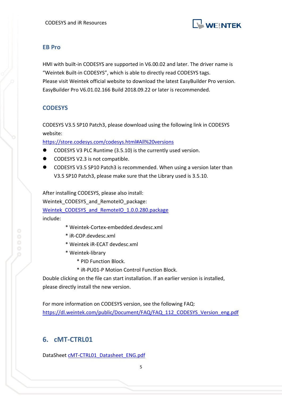

#### <span id="page-6-0"></span>**EB Pro**

HMI with built-in CODESYS are supported in V6.00.02 and later. The driver name is "Weintek Built-in CODESYS", which is able to directly read CODESYS tags. Please visit Weintek official website to download the latest EasyBuilder Pro version. EasyBuilder Pro V6.01.02.166 Build 2018.09.22 or later is recommended.

### <span id="page-6-1"></span>**CODESYS**

CODESYS V3.5 SP10 Patch3, please download using the following link in CODESYS website:

[https://store.codesys.com/codesys.html#All%20versions](https://store.codesys.com/codesys.html%23All%20versions)

- CODESYS V3 PLC Runtime (3.5.10) is the currently used version.
- CODESYS V2.3 is not compatible.
- CODESYS V3.5 SP10 Patch3 is recommended. When using a version later than V3.5 SP10 Patch3, please make sure that the Library used is 3.5.10.

After installing CODESYS, please also install: Weintek CODESYS and RemoteIO package: Weintek CODESYS and RemoteIO 1.0.0.280.package include:

- \* Weintek-Cortex-embedded.devdesc.xml
- \* iR-COP.devdesc.xml
- \* Weintek iR-ECAT devdesc.xml
- \* Weintek-library
	- \* PID Function Block.
	- \* iR-PU01-P Motion Control Function Block.

Double clicking on the file can start installation. If an earlier version is installed, please directly install the new version.

For more information on CODESYS version, see the following FAQ: [https://dl.weintek.com/public/Document/FAQ/FAQ\\_112\\_CODESYS\\_Version\\_eng.pdf](https://dl.weintek.com/public/Document/FAQ/FAQ_112_CODESYS_Version_eng.pdf)

## <span id="page-6-2"></span>**6. cMT-CTRL01**

DataSheet [cMT-CTRL01\\_Datasheet\\_ENG.pdf](https://dl.weintek.com/public/cMT/eng/Datasheet/cMT-CTRL01_Datasheet_ENG.pdf)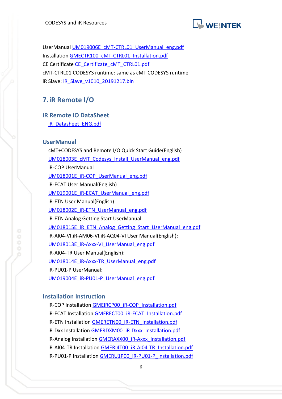

UserManual [UM019006E\\_cMT-CTRL01\\_UserManual\\_eng.pdf](https://dl.weintek.com/public/cMT/eng/UserManual/UM019006E_cMT-CTRL01_UserManual_eng.pdf) Installation [GMECTR100\\_cMT-CTRL01\\_Installation.pdf](https://dl.weintek.com/public/cMT/eng/Installation/GMECTR100_cMT_CTRL01_Installation.pdf) CE Certificate [CE\\_Certificate\\_cMT\\_CTRL01.pdf](https://dl.weintek.com/public/cMT/Certificate/CE_Certificate_cMT_CTRL01.pdf) cMT-CTRL01 CODESYS runtime: same as cMT CODESYS runtime iR Slave: [iR\\_Slave\\_v1010\\_20191217.bin](https://s3-ap-northeast-1.amazonaws.com/partner-share.weintek.com/OS/cMT/cMT_CTRL01/iR_Slave_v1010_20191217.bin)

## <span id="page-7-0"></span>**7.iR Remote I/O**

<span id="page-7-1"></span>**iR Remote IO DataSheet**

[iR\\_Datasheet\\_ENG.pdf](https://dl.weintek.com/public/iR/eng/Datasheet/iR_Datasheet_ENG.pdf)

#### <span id="page-7-2"></span>**UserManual**

cMT+CODESYS and Remote I/O Quick Start Guide(English) [UM018003E\\_cMT\\_Codesys\\_Install\\_UserManual\\_eng.pdf](https://dl.weintek.com/public/cMT/eng/UserManual/UM018003E_cMT_Codesys_Install_UserManual_eng.pdf) iR-COP UserManual [UM018001E\\_iR-COP\\_UserManual\\_eng.pdf](https://dl.weintek.com/public/iR/eng/UserManual/UM018001E_iR-COP_UserManual_eng.pdf) iR-ECAT User Manual(English) [UM019001E\\_iR-ECAT\\_UserManual\\_eng.pdf](https://dl.weintek.com/public/iR/eng/UserManual/UM019001E_iR-ECAT_UserManual_eng.pdf) iR-ETN User Manual(English) [UM018002E\\_iR-ETN\\_UserManual\\_eng.pdf](https://dl.weintek.com/public/iR/eng/UserManual/UM018002E_iR-ETN_UserManual_eng.pdf) iR-ETN Analog Getting Start UserManual [UM018015E\\_iR\\_ETN\\_Analog\\_Getting\\_Start\\_UserManual\\_eng.pdf](https://dl.weintek.com/public/iR/eng/UserManual/UM018015E_iR_ETN_Analog_Getting_Start_UserManual_eng.pdf) iR-AI04-VI,iR-AM06-VI,iR-AQ04-VI User Manual(English): [UM018013E\\_iR-Axxx-VI\\_UserManual\\_eng.pdf](https://dl.weintek.com/public/iR/eng/UserManual/UM018013E_iR-Axxx-VI_UserManual_eng.pdf) iR-AI04-TR User Manual(English): [UM018014E\\_iR-Axxx-TR\\_UserManual\\_eng.pdf](https://dl.weintek.com/public/iR/eng/UserManual/UM018014E_iR-Axxx-TR_UserManual_eng.pdf) iR-PU01-P UserManual: [UM019004E\\_iR-PU01-P\\_UserManual\\_eng.pdf](https://dl.weintek.com/public/iR/eng/UserManual/UM019004E_iR-PU01-P_UserManual_eng.pdf)

#### <span id="page-7-3"></span>**Installation Instruction**

iR-COP Installation [GMEIRCP00\\_iR-COP\\_Installation.pdf](http://dl.weintek.com/public/iR/eng/Installation/GMEIRCP00_iR-COP_Installation.pdf) iR-ECAT Installation [GMERECT00\\_iR-ECAT\\_Installation.pdf](http://dl.weintek.com/public/iR/eng/Installation/GMERECT00_iR-ECAT_Installation.pdf) iR-ETN Installation [GMERETN00\\_iR-ETN\\_Installation.pdf](http://dl.weintek.com/public/iR/eng/Installation/GMERETN00_iR-ETN_Installation.pdf) iR-Dxx Installation [GMERDXM00\\_iR-Dxxx\\_Installation.pdf](http://dl.weintek.com/public/iR/eng/Installation/GMERDXM00_iR-Dxxx_Installation.pdf) iR-Analog Installation [GMERAXX00\\_iR-Axxx\\_Installation.pdf](https://dl.weintek.com/public/iR/eng/Installation/GMERAXX00_iR-Axxx_Installation.pdf) iR-AI04-TR Installation [GMERI4T00\\_iR-AI04-TR\\_Installation.pdf](https://dl.weintek.com/public/iR/eng/Installation/GMERI4T00_iR-AI04-TR_Installation.pdf) iR-PU01-P Installation [GMERU1P00\\_iR-PU01-P\\_Installation.pdf](https://dl.weintek.com/public/iR/eng/Installation/GMERU1P00_iR-PU01-P_Installation.pdf)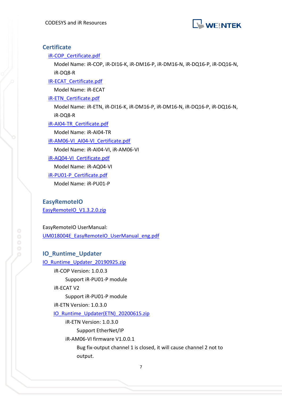

#### <span id="page-8-0"></span>**Certificate**

#### [iR-COP\\_Certificate.pdf](http://dl.weintek.com/public/iR/Certificate/iR-COP_Certificate.pdf)

Model Name: iR-COP, iR-DI16-K, iR-DM16-P, iR-DM16-N, iR-DQ16-P, iR-DQ16-N, iR-DQ8-R

[IR-ECAT\\_Certificate.pdf](http://dl.weintek.com/public/iR/Certificate/iR-ECAT_Certificate.pdf)

Model Name: iR-ECAT

[iR-ETN\\_Certificate.pdf](http://dl.weintek.com/public/iR/Certificate/iR-ETN_Certificate.pdf)

Model Name: iR-ETN, iR-DI16-K, iR-DM16-P, iR-DM16-N, iR-DQ16-P, iR-DQ16-N, iR-DQ8-R

[iR-AI04-TR\\_Certificate.pdf](https://dl.weintek.com/public/iR/Certificate/iR-AI04-TR_Certificate.pdf)

Model Name: iR-AI04-TR

[iR-AM06-VI\\_AI04-VI\\_Certificate.pdf](https://dl.weintek.com/public/iR/Certificate/iR-AM06-VI_AI04-VI_Certificate.pdf)

Model Name: iR-AI04-VI, iR-AM06-VI

[iR-AQ04-VI\\_Certificate.pdf](https://dl.weintek.com/public/iR/Certificate/iR-AQ04-VI_Certificate.pdf)

Model Name: iR-AQ04-VI

[iR-PU01-P\\_Certificate.pdf](https://dl.weintek.com/public/iR/Certificate/iR-PU01-P_Certificate.pdf)

Model Name: iR-PU01-P

#### <span id="page-8-1"></span>**EasyRemoteIO**

[EasyRemoteIO\\_V1.3.2.0.zip](https://dl.weintek.com/public/iR/EasyRemoteIO/EasyRemoteIO_V13020.zip)

EasyRemoteIO UserManual:

[UM018004E\\_EasyRemoteIO\\_UserManual\\_eng.pdf](https://dl.weintek.com/public/iR/eng/UserManual/UM018004E_EasyRemoteIO_UserManual_eng.pdf)

<span id="page-8-2"></span>**IO\_Runtime\_Updater** IO Runtime Updater 20190925.zip iR-COP Version: 1.0.0.3 Support iR-PU01-P module iR-ECAT V2 Support iR-PU01-P module iR-ETN Version: 1.0.3.0 [IO\\_Runtime\\_Updater\(ETN\)\\_20200615.zip](https://dl.weintek.com/public/iR/Utility/IO_Runtime_Updater%28ETN%29_20200615.zip) iR-ETN Version: 1.0.3.0 Support EtherNet/IP iR-AM06-VI firmware V1.0.0.1 Bug fix-output channel 1 is closed, it will cause channel 2 not to output.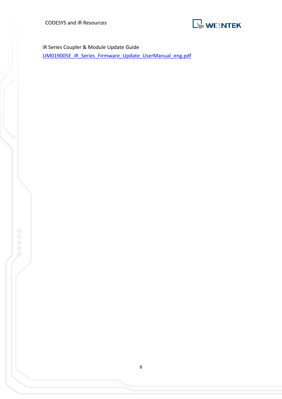CODESYS and iR Resources



iR Series Coupler & Module Update Guide

[UM019005E\\_iR\\_Series\\_Firmware\\_Update\\_UserManual\\_eng.pdf](https://dl.weintek.com/public/iR/eng/UserManual/UM019005E_iR_Series_Firmware_Update_UserManual_eng.pdf)

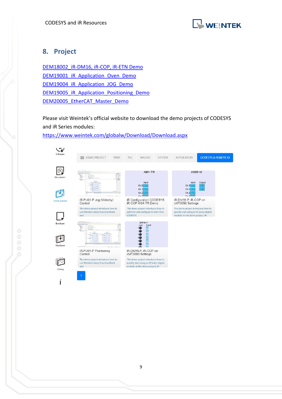

## <span id="page-10-0"></span>**8. Project**

[DEM18002\\_iR-DM16, iR-COP, iR-ETN Demo](https://dl.weintek.com/public/EBPro/Project/System_Sample/DEM18002_iR-DM16_iR-COP_iR-ETN_Demo.zip) [DEM19001\\_iR\\_Application\\_Oven\\_Demo](https://dl.weintek.com/public/Document/DEM/DEM19001_iR_Application_Oven_Demo.zip) [DEM19004\\_iR\\_Application\\_JOG\\_Demo](https://dl.weintek.com/public/Document/DEM/DEM19004_iR_Application_JOG_Demo.zip) [DEM19005\\_iR\\_Application\\_Positioning\\_Demo](https://dl.weintek.com/public/Document/DEM/DEM19005_iR_Application_Positioning_Demo.zip) [DEM20005\\_EtherCAT\\_Master\\_Demo](https://dl.weintek.com/public/Document/DEM/DEM20005_EtherCAT_Master_Demo.zip)

Please visit Weintek's official website to download the demo projects of CODESYS and iR Series modules:

<https://www.weintek.com/globalw/Download/Download.aspx>